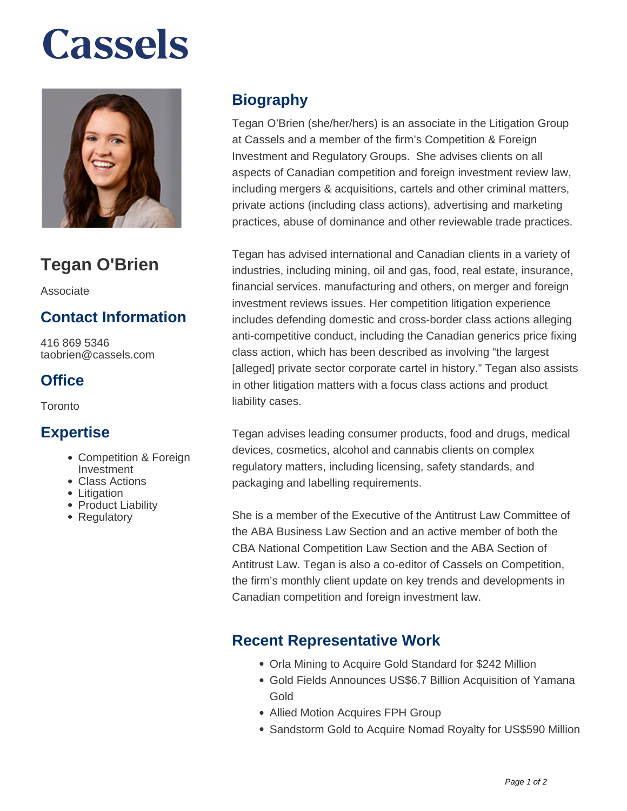# **Cassels**



## **Tegan O'Brien**

Associate

#### **Contact Information**

416 869 5346 taobrien@cassels.com

#### **Office**

**Toronto** 

#### **Expertise**

- Competition & Foreign Investment
- Class Actions
- Litigation
- Product Liability
- Regulatory

#### **Biography**

Tegan O'Brien (she/her/hers) is an associate in the Litigation Group at Cassels and a member of the firm's Competition & Foreign Investment and Regulatory Groups. She advises clients on all aspects of Canadian competition and foreign investment review law, including mergers & acquisitions, cartels and other criminal matters, private actions (including class actions), advertising and marketing practices, abuse of dominance and other reviewable trade practices.

Tegan has advised international and Canadian clients in a variety of industries, including mining, oil and gas, food, real estate, insurance, financial services. manufacturing and others, on merger and foreign investment reviews issues. Her competition litigation experience includes defending domestic and cross-border class actions alleging anti-competitive conduct, including the Canadian generics price fixing class action, which has been described as involving "the largest [alleged] private sector corporate cartel in history." Tegan also assists in other litigation matters with a focus class actions and product liability cases.

Tegan advises leading consumer products, food and drugs, medical devices, cosmetics, alcohol and cannabis clients on complex regulatory matters, including licensing, safety standards, and packaging and labelling requirements.

She is a member of the Executive of the Antitrust Law Committee of the ABA Business Law Section and an active member of both the CBA National Competition Law Section and the ABA Section of Antitrust Law. Tegan is also a co-editor of Cassels on Competition, the firm's monthly client update on key trends and developments in Canadian competition and foreign investment law.

#### **Recent Representative Work**

- Orla Mining to Acquire Gold Standard for \$242 Million
- Gold Fields Announces US\$6.7 Billion Acquisition of Yamana Gold
- Allied Motion Acquires FPH Group
- Sandstorm Gold to Acquire Nomad Royalty for US\$590 Million